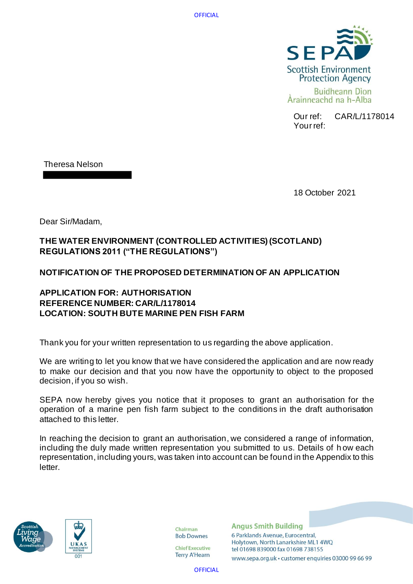

Our ref: CAR/L/1178014 Your ref:

Theresa Nelson

18 October 2021

Dear Sir/Madam,

# **THE WATER ENVIRONMENT (CONTROLLED ACTIVITIES) (SCOTLAND) REGULATIONS 2011 ("THE REGULATIONS")**

# **NOTIFICATION OF THE PROPOSED DETERMINATION OF AN APPLICATION**

# **APPLICATION FOR: AUTHORISATION REFERENCE NUMBER: CAR/L/1178014 LOCATION: SOUTH BUTE MARINE PEN FISH FARM**

Thank you for your written representation to us regarding the above application.

We are writing to let you know that we have considered the application and are now ready to make our decision and that you now have the opportunity to object to the proposed decision, if you so wish.

SEPA now hereby gives you notice that it proposes to grant an authorisation for the operation of a marine pen fish farm subject to the conditions in the draft authorisation attached to this letter.

In reaching the decision to grant an authorisation, we considered a range of information, including the duly made written representation you submitted to us. Details of h ow each representation, including yours, was taken into account can be found in the Appendix to this letter.





Chairman **Bob Downes** 

**Chief Executive Terry A'Hearn** 

**Angus Smith Building** 6 Parklands Avenue, Eurocentral, Holytown, North Lanarkshire ML1 4WQ tel 01698 839000 fax 01698 738155

www.sepa.org.uk · customer enquiries 03000 99 66 99

**OFFICIAL**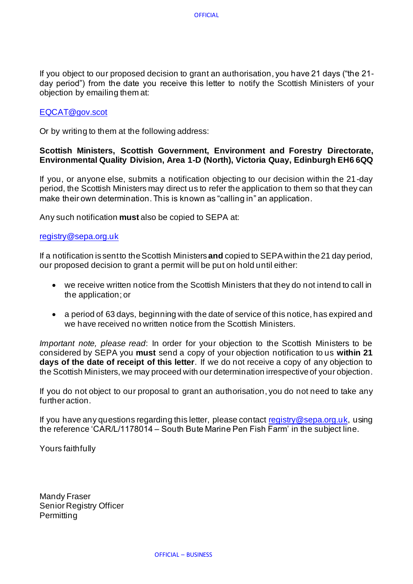If you object to our proposed decision to grant an authorisation, you have 21 days ("the 21 day period") from the date you receive this letter to notify the Scottish Ministers of your objection by emailing them at:

# [EQCAT@gov.scot](mailto:EQCAT@gov.scot)

Or by writing to them at the following address:

# **Scottish Ministers, Scottish Government, Environment and Forestry Directorate, Environmental Quality Division, Area 1-D (North), Victoria Quay, Edinburgh EH6 6QQ**

If you, or anyone else, submits a notification objecting to our decision within the 21-day period, the Scottish Ministers may direct us to refer the application to them so that they can make their own determination. This is known as "calling in" an application.

Any such notification **must** also be copied to SEPA at:

# [registry@sepa.org.uk](mailto:registry@sepa.org.uk)

If a notification is sent to the Scottish Ministers **and** copied to SEPA within the 21 day period, our proposed decision to grant a permit will be put on hold until either:

- we receive written notice from the Scottish Ministers that they do not intend to call in the application; or
- a period of 63 days, beginning with the date of service of this notice, has expired and we have received no written notice from the Scottish Ministers.

*Important note, please read*: In order for your objection to the Scottish Ministers to be considered by SEPA you **must** send a copy of your objection notification to us **within 21 days of the date of receipt of this letter**. If we do not receive a copy of any objection to the Scottish Ministers, we may proceed with our determination irrespective of your objection.

If you do not object to our proposal to grant an authorisation, you do not need to take any further action.

If you have any questions regarding this letter, please contact [registry@sepa.org.uk,](mailto:registry@sepa.org.uk) using the reference 'CAR/L/1178014 – South Bute Marine Pen Fish Farm' in the subject line.

Yours faithfully

Mandy Fraser Senior Registry Officer **Permitting**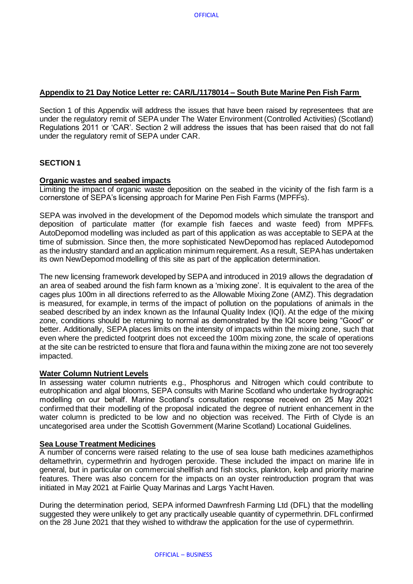# **Appendix to 21 Day Notice Letter re: CAR/L/1178014 – South Bute Marine Pen Fish Farm**

Section 1 of this Appendix will address the issues that have been raised by representees that are under the regulatory remit of SEPA under The Water Environment (Controlled Activities) (Scotland) Regulations 2011 or 'CAR'. Section 2 will address the issues that has been raised that do not fall under the regulatory remit of SEPA under CAR.

# **SECTION 1**

# **Organic wastes and seabed impacts**

Limiting the impact of organic waste deposition on the seabed in the vicinity of the fish farm is a cornerstone of SEPA's licensing approach for Marine Pen Fish Farms (MPFFs).

SEPA was involved in the development of the Depomod models which simulate the transport and deposition of particulate matter (for example fish faeces and waste feed) from MPFFs. AutoDepomod modelling was included as part of this application as was acceptable to SEPA at the time of submission. Since then, the more sophisticated NewDepomod has replaced Autodepomod as the industry standard and an application minimum requirement. As a result, SEPA has undertaken its own NewDepomod modelling of this site as part of the application determination.

The new licensing framework developed by SEPA and introduced in 2019 allows the degradation of an area of seabed around the fish farm known as a 'mixing zone'. It is equivalent to the area of the cages plus 100m in all directions referred to as the Allowable Mixing Zone (AMZ). This degradation is measured, for example, in terms of the impact of pollution on the populations of animals in the seabed described by an index known as the Infaunal Quality Index (IQI). At the edge of the mixing zone, conditions should be returning to normal as demonstrated by the IQI score being "Good" or better. Additionally, SEPA places limits on the intensity of impacts within the mixing zone, such that even where the predicted footprint does not exceed the 100m mixing zone, the scale of operations at the site can be restricted to ensure that flora and fauna within the mixing zone are not too severely impacted.

### **Water Column Nutrient Levels**

In assessing water column nutrients e.g., Phosphorus and Nitrogen which could contribute to eutrophication and algal blooms, SEPA consults with Marine Scotland who undertake hydrographic modelling on our behalf. Marine Scotland's consultation response received on 25 May 2021 confirmed that their modelling of the proposal indicated the degree of nutrient enhancement in the water column is predicted to be low and no objection was received. The Firth of Clyde is an uncategorised area under the Scottish Government (Marine Scotland) Locational Guidelines.

### **Sea Louse Treatment Medicines**

A number of concerns were raised relating to the use of sea louse bath medicines azamethiphos deltamethrin, cypermethrin and hydrogen peroxide. These included the impact on marine life in general, but in particular on commercial shellfish and fish stocks, plankton, kelp and priority marine features. There was also concern for the impacts on an oyster reintroduction program that was initiated in May 2021 at Fairlie Quay Marinas and Largs Yacht Haven.

During the determination period, SEPA informed Dawnfresh Farming Ltd (DFL) that the modelling suggested they were unlikely to get any practically useable quantity of cypermethrin. DFL confirmed on the 28 June 2021 that they wished to withdraw the application for the use of cypermethrin.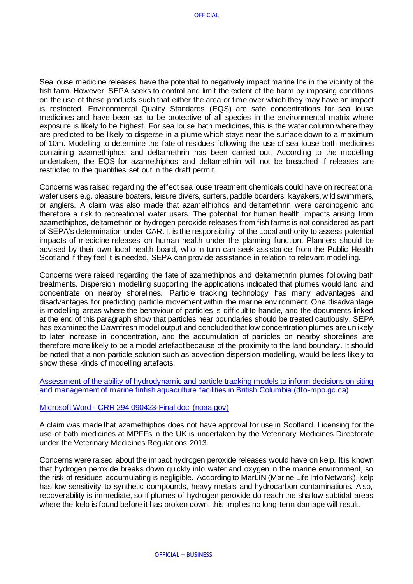Sea louse medicine releases have the potential to negatively impact marine life in the vicinity of the fish farm. However, SEPA seeks to control and limit the extent of the harm by imposing conditions on the use of these products such that either the area or time over which they may have an impact is restricted. Environmental Quality Standards (EQS) are safe concentrations for sea louse medicines and have been set to be protective of all species in the environmental matrix where exposure is likely to be highest. For sea louse bath medicines, this is the water column where they are predicted to be likely to disperse in a plume which stays near the surface down to a maximum of 10m. Modelling to determine the fate of residues following the use of sea louse bath medicines containing azamethiphos and deltamethrin has been carried out. According to the modelling undertaken, the EQS for azamethiphos and deltamethrin will not be breached if releases are restricted to the quantities set out in the draft permit.

Concerns was raised regarding the effect sea louse treatment chemicals could have on recreational water users e.g. pleasure boaters, leisure divers, surfers, paddle boarders, kayakers, wild swimmers, or anglers. A claim was also made that azamethiphos and deltamethrin were carcinogenic and therefore a risk to recreational water users. The potential for human health impacts arising from azamethiphos, deltamethrin or hydrogen peroxide releases from fish farms is not considered as part of SEPA's determination under CAR. It is the responsibility of the Local authority to assess potential impacts of medicine releases on human health under the planning function. Planners should be advised by their own local health board, who in turn can seek assistance from the Public Health Scotland if they feel it is needed. SEPA can provide assistance in relation to relevant modelling.

Concerns were raised regarding the fate of azamethiphos and deltamethrin plumes following bath treatments. Dispersion modelling supporting the applications indicated that plumes would land and concentrate on nearby shorelines. Particle tracking technology has many advantages and disadvantages for predicting particle movement within the marine environment. One disadvantage is modelling areas where the behaviour of particles is difficult to handle, and the documents linked at the end of this paragraph show that particles near boundaries should be treated cautiously. SEPA has examined the Dawnfresh model output and concluded that low concentration plumes are unlikely to later increase in concentration, and the accumulation of particles on nearby shorelines are therefore more likely to be a model artefact because of the proximity to the land boundary. It should be noted that a non-particle solution such as advection dispersion modelling, would be less likely to show these kinds of modelling artefacts.

[Assessment of the ability of hydrodynamic and particle tracking models to inform decisions on siting](https://waves-vagues.dfo-mpo.gc.ca/Library/40712679.pdf)  [and management of marine finfish aquaculture facilities in British Columbia \(dfo-mpo.gc.ca\)](https://waves-vagues.dfo-mpo.gc.ca/Library/40712679.pdf)

### Microsoft Word - [CRR 294 090423-Final.doc \(noaa.gov\)](https://www.pmel.noaa.gov/foci/publications/2009/bric0722.pdf)

A claim was made that azamethiphos does not have approval for use in Scotland. Licensing for the use of bath medicines at MPFFs in the UK is undertaken by the Veterinary Medicines Directorate under the Veterinary Medicines Regulations 2013.

Concerns were raised about the impact hydrogen peroxide releases would have on kelp. It is known that hydrogen peroxide breaks down quickly into water and oxygen in the marine environment, so the risk of residues accumulating is negligible. According to MarLIN (Marine Life Info Network), kelp has low sensitivity to synthetic compounds, heavy metals and hydrocarbon contaminations. Also, recoverability is immediate, so if plumes of hydrogen peroxide do reach the shallow subtidal areas where the kelp is found before it has broken down, this implies no long-term damage will result.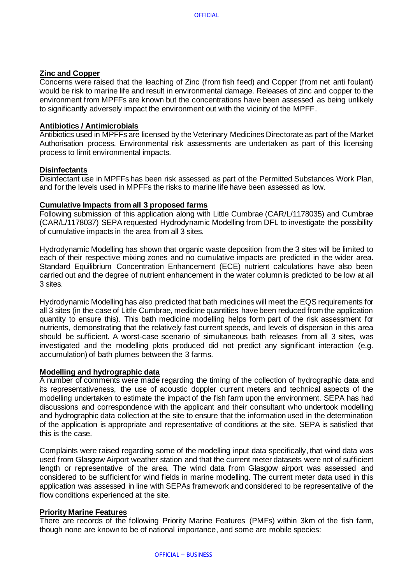# **Zinc and Copper**

Concerns were raised that the leaching of Zinc (from fish feed) and Copper (from net anti foulant) would be risk to marine life and result in environmental damage. Releases of zinc and copper to the environment from MPFFs are known but the concentrations have been assessed as being unlikely to significantly adversely impact the environment out with the vicinity of the MPFF.

### **Antibiotics / Antimicrobials**

Antibiotics used in MPFFs are licensed by the Veterinary Medicines Directorate as part of the Market Authorisation process. Environmental risk assessments are undertaken as part of this licensing process to limit environmental impacts.

# **Disinfectants**

Disinfectant use in MPFFs has been risk assessed as part of the Permitted Substances Work Plan, and for the levels used in MPFFs the risks to marine life have been assessed as low.

# **Cumulative Impacts from all 3 proposed farms**

Following submission of this application along with Little Cumbrae (CAR/L/1178035) and Cumbrae (CAR/L/1178037) SEPA requested Hydrodynamic Modelling from DFL to investigate the possibility of cumulative impacts in the area from all 3 sites.

Hydrodynamic Modelling has shown that organic waste deposition from the 3 sites will be limited to each of their respective mixing zones and no cumulative impacts are predicted in the wider area. Standard Equilibrium Concentration Enhancement (ECE) nutrient calculations have also been carried out and the degree of nutrient enhancement in the water column is predicted to be low at all 3 sites.

Hydrodynamic Modelling has also predicted that bath medicines will meet the EQS requirements for all 3 sites (in the case of Little Cumbrae, medicine quantities have been reduced from the application quantity to ensure this). This bath medicine modelling helps form part of the risk assessment for nutrients, demonstrating that the relatively fast current speeds, and levels of dispersion in this area should be sufficient. A worst-case scenario of simultaneous bath releases from all 3 sites, was investigated and the modelling plots produced did not predict any significant interaction (e.g. accumulation) of bath plumes between the 3 farms.

### **Modelling and hydrographic data**

A number of comments were made regarding the timing of the collection of hydrographic data and its representativeness, the use of acoustic doppler current meters and technical aspects of the modelling undertaken to estimate the impact of the fish farm upon the environment. SEPA has had discussions and correspondence with the applicant and their consultant who undertook modelling and hydrographic data collection at the site to ensure that the information used in the determination of the application is appropriate and representative of conditions at the site. SEPA is satisfied that this is the case.

Complaints were raised regarding some of the modelling input data specifically, that wind data was used from Glasgow Airport weather station and that the current meter datasets were not of sufficient length or representative of the area. The wind data from Glasgow airport was assessed and considered to be sufficient for wind fields in marine modelling. The current meter data used in this application was assessed in line with SEPAs framework and considered to be representative of the flow conditions experienced at the site.

### **Priority Marine Features**

There are records of the following Priority Marine Features (PMFs) within 3km of the fish farm, though none are known to be of national importance, and some are mobile species: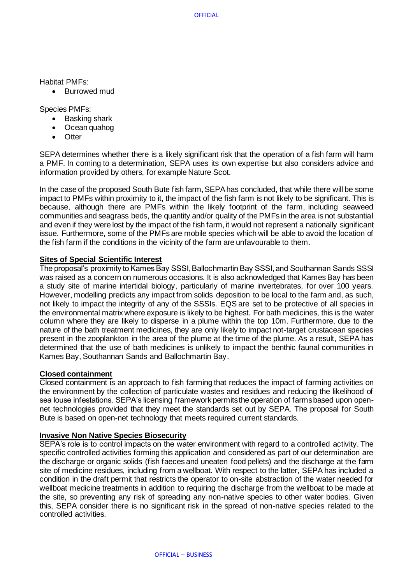Habitat PMFs:

• Burrowed mud

Species PMFs:

- Basking shark
- Ocean quahog
- Otter

SEPA determines whether there is a likely significant risk that the operation of a fish farm will harm a PMF. In coming to a determination, SEPA uses its own expertise but also considers advice and information provided by others, for example Nature Scot.

In the case of the proposed South Bute fish farm, SEPA has concluded, that while there will be some impact to PMFs within proximity to it, the impact of the fish farm is not likely to be significant. This is because, although there are PMFs within the likely footprint of the farm, including seaweed communities and seagrass beds, the quantity and/or quality of the PMFs in the area is not substantial and even if they were lost by the impact of the fish farm, it would not represent a nationally significant issue. Furthermore, some of the PMFs are mobile species which will be able to avoid the location of the fish farm if the conditions in the vicinity of the farm are unfavourable to them.

# **Sites of Special Scientific Interest**

The proposal's proximity to Kames Bay SSSI, Ballochmartin Bay SSSI, and Southannan Sands SSSI was raised as a concern on numerous occasions. It is also acknowledged that Kames Bay has been a study site of marine intertidal biology, particularly of marine invertebrates, for over 100 years. However, modelling predicts any impact from solids deposition to be local to the farm and, as such, not likely to impact the integrity of any of the SSSIs. EQS are set to be protective of all species in the environmental matrix where exposure is likely to be highest. For bath medicines, this is the water column where they are likely to disperse in a plume within the top 10m. Furthermore, due to the nature of the bath treatment medicines, they are only likely to impact not-target crustacean species present in the zooplankton in the area of the plume at the time of the plume. As a result, SEPA has determined that the use of bath medicines is unlikely to impact the benthic faunal communities in Kames Bay, Southannan Sands and Ballochmartin Bay.

### **Closed containment**

Closed containment is an approach to fish farming that reduces the impact of farming activities on the environment by the collection of particulate wastes and residues and reducing the likelihood of sea louse infestations. SEPA's licensing framework permits the operation of farms based upon opennet technologies provided that they meet the standards set out by SEPA. The proposal for South Bute is based on open-net technology that meets required current standards.

### **Invasive Non Native Species Biosecurity**

SEPA's role is to control impacts on the water environment with regard to a controlled activity. The specific controlled activities forming this application and considered as part of our determination are the discharge or organic solids (fish faeces and uneaten food pellets) and the discharge at the farm site of medicine residues, including from a wellboat. With respect to the latter, SEPA has included a condition in the draft permit that restricts the operator to on-site abstraction of the water needed for wellboat medicine treatments in addition to requiring the discharge from the wellboat to be made at the site, so preventing any risk of spreading any non-native species to other water bodies. Given this, SEPA consider there is no significant risk in the spread of non-native species related to the controlled activities.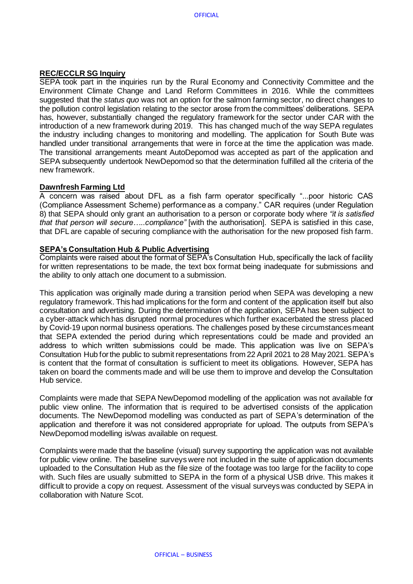# **REC/ECCLR SG Inquiry**

SEPA took part in the inquiries run by the Rural Economy and Connectivity Committee and the Environment Climate Change and Land Reform Committees in 2016. While the committees suggested that the *status quo* was not an option for the salmon farming sector, no direct changes to the pollution control legislation relating to the sector arose from the committees' deliberations. SEPA has, however, substantially changed the regulatory framework for the sector under CAR with the introduction of a new framework during 2019. This has changed much of the way SEPA regulates the industry including changes to monitoring and modelling. The application for South Bute was handled under transitional arrangements that were in force at the time the application was made. The transitional arrangements meant AutoDepomod was accepted as part of the application and SEPA subsequently undertook NewDepomod so that the determination fulfilled all the criteria of the new framework.

# **Dawnfresh Farming Ltd**

A concern was raised about DFL as a fish farm operator specifically "...poor historic CAS (Compliance Assessment Scheme) performance as a company." CAR requires (under Regulation 8) that SEPA should only grant an authorisation to a person or corporate body where *"it is satisfied that that person will secure…..compliance"* [with the authorisation]. SEPA is satisfied in this case, that DFL are capable of securing compliance with the authorisation for the new proposed fish farm.

# **SEPA's Consultation Hub & Public Advertising**

Complaints were raised about the format of SEPA's Consultation Hub, specifically the lack of facility for written representations to be made, the text box format being inadequate for submissions and the ability to only attach one document to a submission.

This application was originally made during a transition period when SEPA was developing a new regulatory framework. This had implications for the form and content of the application itself but also consultation and advertising. During the determination of the application, SEPA has been subject to a cyber-attack which has disrupted normal procedures which further exacerbated the stress placed by Covid-19 upon normal business operations. The challenges posed by these circumstances meant that SEPA extended the period during which representations could be made and provided an address to which written submissions could be made. This application was live on SEPA's Consultation Hub for the public to submit representations from 22 April 2021 to 28 May 2021. SEPA's is content that the format of consultation is sufficient to meet its obligations. However, SEPA has taken on board the comments made and will be use them to improve and develop the Consultation Hub service.

Complaints were made that SEPA NewDepomod modelling of the application was not available for public view online. The information that is required to be advertised consists of the application documents. The NewDepomod modelling was conducted as part of SEPA's determination of the application and therefore it was not considered appropriate for upload. The outputs from SEPA's NewDepomod modelling is/was available on request.

Complaints were made that the baseline (visual) survey supporting the application was not available for public view online. The baseline surveys were not included in the suite of application documents uploaded to the Consultation Hub as the file size of the footage was too large for the facility to cope with. Such files are usually submitted to SEPA in the form of a physical USB drive. This makes it difficult to provide a copy on request. Assessment of the visual surveys was conducted by SEPA in collaboration with Nature Scot.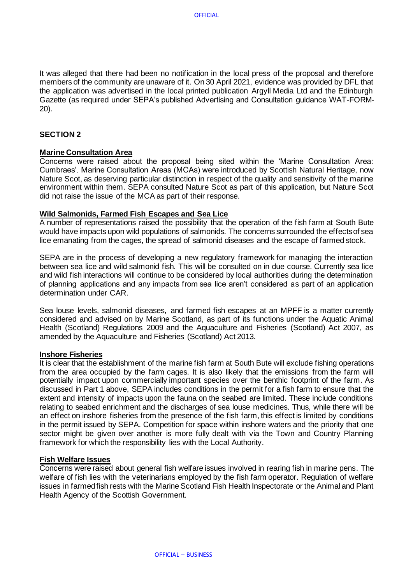It was alleged that there had been no notification in the local press of the proposal and therefore members of the community are unaware of it. On 30 April 2021, evidence was provided by DFL that the application was advertised in the local printed publication Argyll Media Ltd and the Edinburgh Gazette (as required under SEPA's published Advertising and Consultation guidance WAT-FORM-20).

# **SECTION 2**

### **Marine Consultation Area**

Concerns were raised about the proposal being sited within the 'Marine Consultation Area: Cumbraes'. Marine Consultation Areas (MCAs) were introduced by Scottish Natural Heritage, now Nature Scot, as deserving particular distinction in respect of the quality and sensitivity of the marine environment within them. SEPA consulted Nature Scot as part of this application, but Nature Scot did not raise the issue of the MCA as part of their response.

### **Wild Salmonids, Farmed Fish Escapes and Sea Lice**

A number of representations raised the possibility that the operation of the fish farm at South Bute would have impacts upon wild populations of salmonids. The concerns surrounded the effects of sea lice emanating from the cages, the spread of salmonid diseases and the escape of farmed stock.

SEPA are in the process of developing a new regulatory framework for managing the interaction between sea lice and wild salmonid fish. This will be consulted on in due course. Currently sea lice and wild fish interactions will continue to be considered by local authorities during the determination of planning applications and any impacts from sea lice aren't considered as part of an application determination under CAR.

Sea louse levels, salmonid diseases, and farmed fish escapes at an MPFF is a matter currently considered and advised on by Marine Scotland, as part of its functions under the Aquatic Animal Health (Scotland) Regulations 2009 and the Aquaculture and Fisheries (Scotland) Act 2007, as amended by the Aquaculture and Fisheries (Scotland) Act 2013.

### **Inshore Fisheries**

It is clear that the establishment of the marine fish farm at South Bute will exclude fishing operations from the area occupied by the farm cages. It is also likely that the emissions from the farm will potentially impact upon commercially important species over the benthic footprint of the farm. As discussed in Part 1 above, SEPA includes conditions in the permit for a fish farm to ensure that the extent and intensity of impacts upon the fauna on the seabed are limited. These include conditions relating to seabed enrichment and the discharges of sea louse medicines. Thus, while there will be an effect on inshore fisheries from the presence of the fish farm, this effect is limited by conditions in the permit issued by SEPA. Competition for space within inshore waters and the priority that one sector might be given over another is more fully dealt with via the Town and Country Planning framework for which the responsibility lies with the Local Authority.

### **Fish Welfare Issues**

Concerns were raised about general fish welfare issues involved in rearing fish in marine pens. The welfare of fish lies with the veterinarians employed by the fish farm operator. Regulation of welfare issues in farmed fish rests with the Marine Scotland Fish Health Inspectorate or the Animal and Plant Health Agency of the Scottish Government.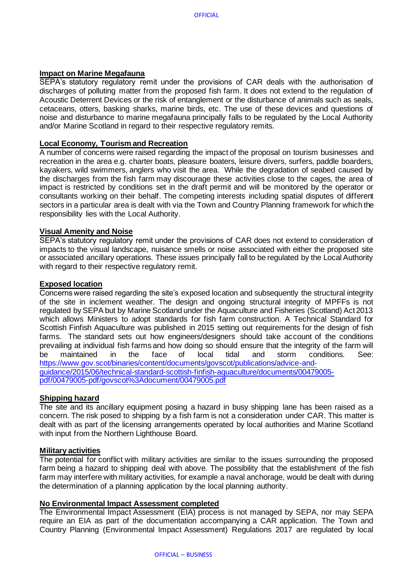# **Impact on Marine Megafauna**

SEPA's statutory regulatory remit under the provisions of CAR deals with the authorisation of discharges of polluting matter from the proposed fish farm. It does not extend to the regulation of Acoustic Deterrent Devices or the risk of entanglement or the disturbance of animals such as seals, cetaceans, otters, basking sharks, marine birds, etc. The use of these devices and questions of noise and disturbance to marine megafauna principally falls to be regulated by the Local Authority and/or Marine Scotland in regard to their respective regulatory remits.

### **Local Economy, Tourism and Recreation**

A number of concerns were raised regarding the impact of the proposal on tourism businesses and recreation in the area e.g. charter boats, pleasure boaters, leisure divers, surfers, paddle boarders, kayakers, wild swimmers, anglers who visit the area. While the degradation of seabed caused by the discharges from the fish farm may discourage these activities close to the cages, the area of impact is restricted by conditions set in the draft permit and will be monitored by the operator or consultants working on their behalf. The competing interests including spatial disputes of different sectors in a particular area is dealt with via the Town and Country Planning framework for which the responsibility lies with the Local Authority.

### **Visual Amenity and Noise**

SEPA's statutory regulatory remit under the provisions of CAR does not extend to consideration of impacts to the visual landscape, nuisance smells or noise associated with either the proposed site or associated ancillary operations. These issues principally fall to be regulated by the Local Authority with regard to their respective regulatory remit.

### **Exposed location**

Concerns were raised regarding the site's exposed location and subsequently the structural integrity of the site in inclement weather. The design and ongoing structural integrity of MPFFs is not regulated by SEPA but by Marine Scotland under the Aquaculture and Fisheries (Scotland) Act 2013 which allows Ministers to adopt standards for fish farm construction. A Technical Standard for Scottish Finfish Aquaculture was published in 2015 setting out requirements for the design of fish farms. The standard sets out how engineers/designers should take account of the conditions prevailing at individual fish farms and how doing so should ensure that the integrity of the farm will be maintained in the face of local tidal and storm conditions. See: [https://www.gov.scot/binaries/content/documents/govscot/publications/advice-and](https://www.gov.scot/binaries/content/documents/govscot/publications/advice-and-guidance/2015/06/technical-standard-scottish-finfish-aquaculture/documents/00479005-pdf/00479005-pdf/govscot%3Adocument/00479005.pdf)[guidance/2015/06/technical-standard-scottish-finfish-aquaculture/documents/00479005](https://www.gov.scot/binaries/content/documents/govscot/publications/advice-and-guidance/2015/06/technical-standard-scottish-finfish-aquaculture/documents/00479005-pdf/00479005-pdf/govscot%3Adocument/00479005.pdf) [pdf/00479005-pdf/govscot%3Adocument/00479005.pdf](https://www.gov.scot/binaries/content/documents/govscot/publications/advice-and-guidance/2015/06/technical-standard-scottish-finfish-aquaculture/documents/00479005-pdf/00479005-pdf/govscot%3Adocument/00479005.pdf)

### **Shipping hazard**

The site and its ancillary equipment posing a hazard in busy shipping lane has been raised as a concern. The risk posed to shipping by a fish farm is not a consideration under CAR. This matter is dealt with as part of the licensing arrangements operated by local authorities and Marine Scotland with input from the Northern Lighthouse Board.

### **Military activities**

The potential for conflict with military activities are similar to the issues surrounding the proposed farm being a hazard to shipping deal with above. The possibility that the establishment of the fish farm may interfere with military activities, for example a naval anchorage, would be dealt with during the determination of a planning application by the local planning authority.

### **No Environmental Impact Assessment completed**

The Environmental Impact Assessment (EIA) process is not managed by SEPA, nor may SEPA require an EIA as part of the documentation accompanying a CAR application. The Town and Country Planning (Environmental Impact Assessment) Regulations 2017 are regulated by local